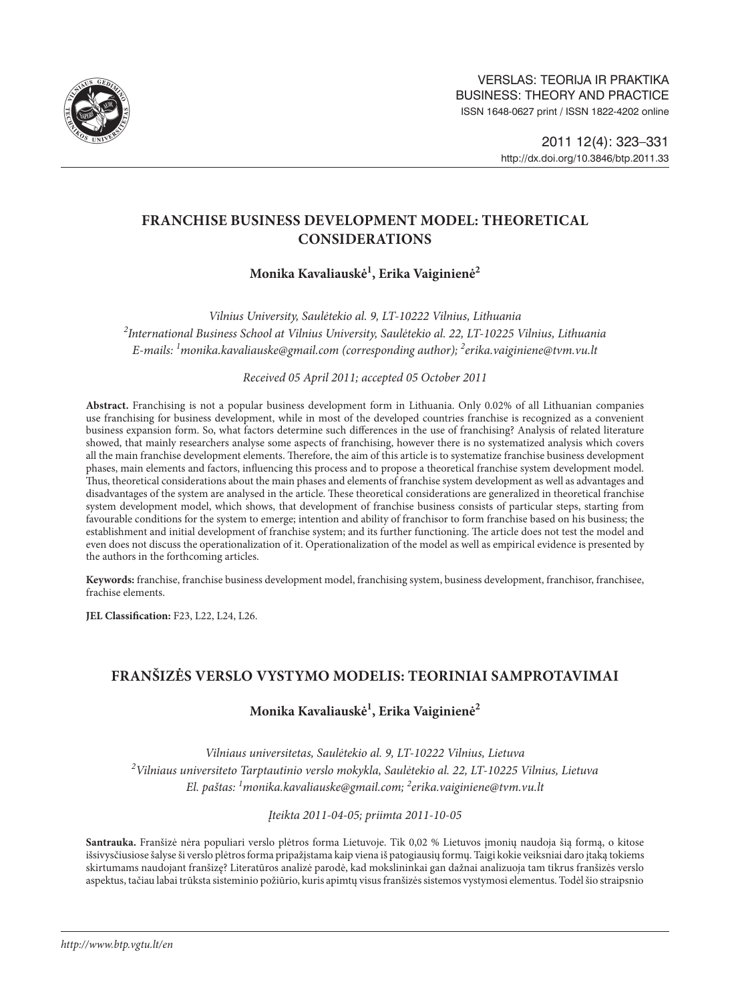

## **FRANCHISE BUSINESS DEVELOPMENT MODEL: THEORETICAL CONSIDERATIONS**

# **Monika Kavaliauskė1 , Erika Vaiginienė2**

*Vilnius University, Saulėtekio al. 9, LT-10222 Vilnius, Lithuania 2 International Business School at Vilnius University, Saulėtekio al. 22, LT-10225 Vilnius, Lithuania E-mails: 1 monika.kavaliauske@gmail.com (corresponding author); 2 erika.vaiginiene@tvm.vu.lt*

*Received 05 April 2011; accepted 05 October 2011*

**Abstract.** Franchising is not a popular business development form in Lithuania. Only 0.02% of all Lithuanian companies use franchising for business development, while in most of the developed countries franchise is recognized as a convenient business expansion form. So, what factors determine such differences in the use of franchising? Analysis of related literature showed, that mainly researchers analyse some aspects of franchising, however there is no systematized analysis which covers all the main franchise development elements. Therefore, the aim of this article is to systematize franchise business development phases, main elements and factors, influencing this process and to propose a theoretical franchise system development model. Thus, theoretical considerations about the main phases and elements of franchise system development as well as advantages and disadvantages of the system are analysed in the article. These theoretical considerations are generalized in theoretical franchise system development model, which shows, that development of franchise business consists of particular steps, starting from favourable conditions for the system to emerge; intention and ability of franchisor to form franchise based on his business; the establishment and initial development of franchise system; and its further functioning. The article does not test the model and even does not discuss the operationalization of it. Operationalization of the model as well as empirical evidence is presented by the authors in the forthcoming articles.

**Keywords:** franchise, franchise business development model, franchising system, business development, franchisor, franchisee, frachise elements.

**JEL Classification:** F23, L22, L24, L26.

## **FRANŠIZĖS VERSLO VYSTYMO MODELIS: TEORINIAI SAMPROTAVIMAI**

## **Monika Kavaliauskė1 , Erika Vaiginienė2**

*Vilniaus universitetas, Saulėtekio al. 9, LT-10222 Vilnius, Lietuva 2 Vilniaus universiteto Tarptautinio verslo mokykla, Saulėtekio al. 22, LT-10225 Vilnius, Lietuva El. paštas: 1 monika.kavaliauske@gmail.com; 2 erika.vaiginiene@tvm.vu.lt*

*Įteikta 2011-04-05; priimta 2011-10-05*

**Santrauka.** Franšizė nėra populiari verslo plėtros forma Lietuvoje. Tik 0,02 % Lietuvos įmonių naudoja šią formą, o kitose išsivysčiusiose šalyse ši verslo plėtros forma pripažįstama kaip viena iš patogiausių formų. Taigi kokie veiksniai daro įtaką tokiems skirtumams naudojant franšizę? Literatūros analizė parodė, kad mokslininkai gan dažnai analizuoja tam tikrus franšizės verslo aspektus, tačiau labai trūksta sisteminio požiūrio, kuris apimtų visus franšizės sistemos vystymosi elementus. Todėl šio straipsnio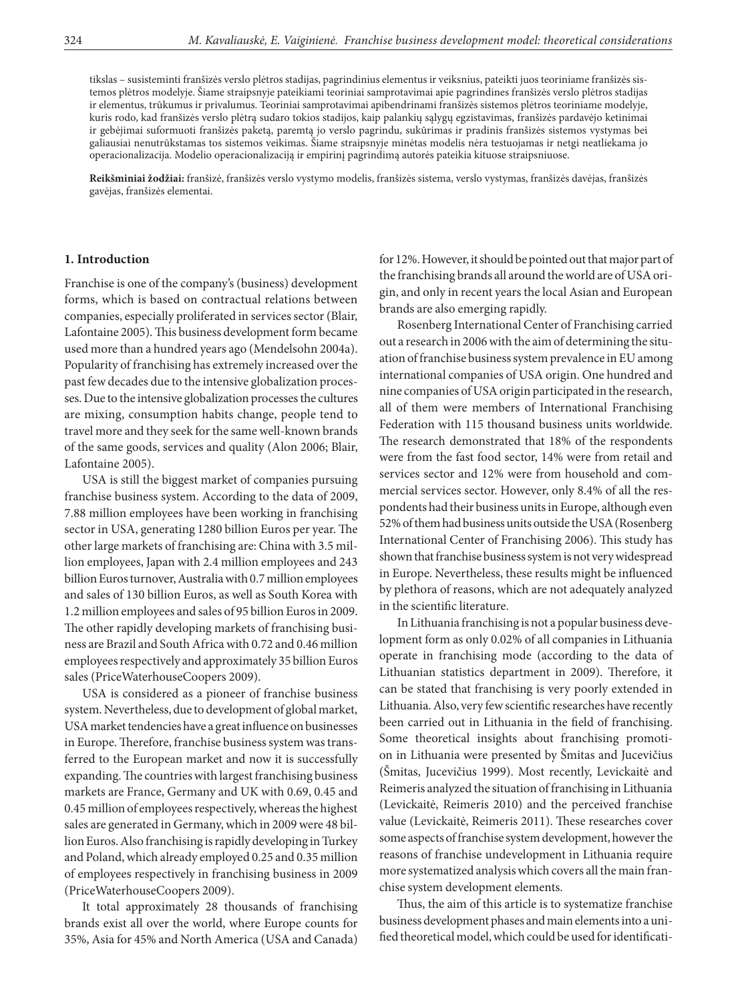tikslas – susisteminti franšizės verslo plėtros stadijas, pagrindinius elementus ir veiksnius, pateikti juos teoriniame franšizės sistemos plėtros modelyje. Šiame straipsnyje pateikiami teoriniai samprotavimai apie pagrindines franšizės verslo plėtros stadijas ir elementus, trūkumus ir privalumus. Teoriniai samprotavimai apibendrinami franšizės sistemos plėtros teoriniame modelyje, kuris rodo, kad franšizės verslo plėtrą sudaro tokios stadijos, kaip palankių sąlygų egzistavimas, franšizės pardavėjo ketinimai ir gebėjimai suformuoti franšizės paketą, paremtą jo verslo pagrindu, sukūrimas ir pradinis franšizės sistemos vystymas bei galiausiai nenutrūkstamas tos sistemos veikimas. Šiame straipsnyje minėtas modelis nėra testuojamas ir netgi neatliekama jo operacionalizacija. Modelio operacionalizaciją ir empirinį pagrindimą autorės pateikia kituose straipsniuose.

**Reikšminiai žodžiai:** franšizė, franšizės verslo vystymo modelis, franšizės sistema, verslo vystymas, franšizės davėjas, franšizės gavėjas, franšizės elementai.

#### **1. Introduction**

Franchise is one of the company's (business) development forms, which is based on contractual relations between companies, especially proliferated in services sector (Blair, Lafontaine 2005). This business development form became used more than a hundred years ago (Mendelsohn 2004a). Popularity of franchising has extremely increased over the past few decades due to the intensive globalization processes. Due to the intensive globalization processes the cultures are mixing, consumption habits change, people tend to travel more and they seek for the same well-known brands of the same goods, services and quality (Alon 2006; Blair, Lafontaine 2005).

USA is still the biggest market of companies pursuing franchise business system. According to the data of 2009, 7.88 million employees have been working in franchising sector in USA, generating 1280 billion Euros per year. The other large markets of franchising are: China with 3.5 million employees, Japan with 2.4 million employees and 243 billion Euros turnover, Australia with 0.7 million employees and sales of 130 billion Euros, as well as South Korea with 1.2 million employees and sales of 95 billion Euros in 2009. The other rapidly developing markets of franchising business are Brazil and South Africa with 0.72 and 0.46 million employees respectively and approximately 35 billion Euros sales (PriceWaterhouseCoopers 2009).

USA is considered as a pioneer of franchise business system. Nevertheless, due to development of global market, USA market tendencies have a great influence on businesses in Europe. Therefore, franchise business system was transferred to the European market and now it is successfully expanding. The countries with largest franchising business markets are France, Germany and UK with 0.69, 0.45 and 0.45 million of employees respectively, whereas the highest sales are generated in Germany, which in 2009 were 48 billion Euros. Also franchising is rapidly developing in Turkey and Poland, which already employed 0.25 and 0.35 million of employees respectively in franchising business in 2009 (PriceWaterhouseCoopers 2009).

It total approximately 28 thousands of franchising brands exist all over the world, where Europe counts for 35%, Asia for 45% and North America (USA and Canada)

for 12%. However, it should be pointed out that major part of the franchising brands all around the world are of USA origin, and only in recent years the local Asian and European brands are also emerging rapidly.

Rosenberg International Center of Franchising carried out a research in 2006 with the aim of determining the situation of franchise business system prevalence in EU among international companies of USA origin. One hundred and nine companies of USA origin participated in the research, all of them were members of International Franchising Federation with 115 thousand business units worldwide. The research demonstrated that 18% of the respondents were from the fast food sector, 14% were from retail and services sector and 12% were from household and commercial services sector. However, only 8.4% of all the respondents had their business units in Europe, although even 52% of them had business units outside the USA (Rosenberg International Center of Franchising 2006). This study has shown that franchise business system is not very widespread in Europe. Nevertheless, these results might be influenced by plethora of reasons, which are not adequately analyzed in the scientific literature.

In Lithuania franchising is not a popular business development form as only 0.02% of all companies in Lithuania operate in franchising mode (according to the data of Lithuanian statistics department in 2009). Therefore, it can be stated that franchising is very poorly extended in Lithuania. Also, very few scientific researches have recently been carried out in Lithuania in the field of franchising. Some theoretical insights about franchising promotion in Lithuania were presented by Šmitas and Jucevičius (Šmitas, Jucevičius 1999). Most recently, Levickaitė and Reimeris analyzed the situation of franchising in Lithuania (Levickaitė, Reimeris 2010) and the perceived franchise value (Levickaitė, Reimeris 2011). These researches cover some aspects of franchise system development, however the reasons of franchise undevelopment in Lithuania require more systematized analysis which covers all the main franchise system development elements.

Thus, the aim of this article is to systematize franchise business development phases and main elements into a unified theoretical model, which could be used for identificati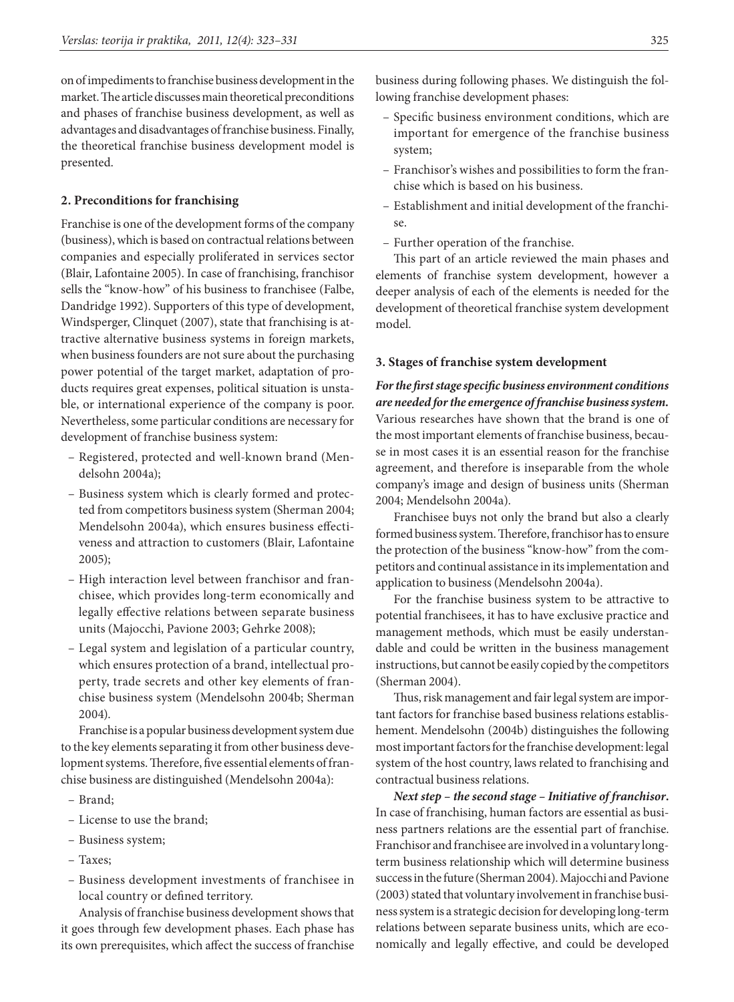on of impediments to franchise business development in the market. The article discusses main theoretical preconditions and phases of franchise business development, as well as advantages and disadvantages of franchise business. Finally, the theoretical franchise business development model is presented.

### **2. Preconditions for franchising**

Franchise is one of the development forms of the company (business), which is based on contractual relations between companies and especially proliferated in services sector (Blair, Lafontaine 2005). In case of franchising, franchisor sells the "know-how" of his business to franchisee (Falbe, Dandridge 1992). Supporters of this type of development, Windsperger, Clinquet (2007), state that franchising is attractive alternative business systems in foreign markets, when business founders are not sure about the purchasing power potential of the target market, adaptation of products requires great expenses, political situation is unstable, or international experience of the company is poor. Nevertheless, some particular conditions are necessary for development of franchise business system:

- Registered, protected and well-known brand (Mendelsohn 2004a);
- Business system which is clearly formed and protected from competitors business system (Sherman 2004; Mendelsohn 2004a), which ensures business effectiveness and attraction to customers (Blair, Lafontaine 2005);
- High interaction level between franchisor and franchisee, which provides long-term economically and legally effective relations between separate business units (Majocchi, Pavione 2003; Gehrke 2008);
- Legal system and legislation of a particular country, which ensures protection of a brand, intellectual property, trade secrets and other key elements of franchise business system (Mendelsohn 2004b; Sherman 2004).

Franchise is a popular business development system due to the key elements separating it from other business development systems. Therefore, five essential elements of franchise business are distinguished (Mendelsohn 2004a):

- Brand;
- License to use the brand;
- Business system;
- Taxes;
- Business development investments of franchisee in local country or defined territory.

Analysis of franchise business development shows that it goes through few development phases. Each phase has its own prerequisites, which affect the success of franchise

business during following phases. We distinguish the following franchise development phases:

- Specific business environment conditions, which are important for emergence of the franchise business system;
- Franchisor's wishes and possibilities to form the franchise which is based on his business.
- Establishment and initial development of the franchise.
- Further operation of the franchise.

This part of an article reviewed the main phases and elements of franchise system development, however a deeper analysis of each of the elements is needed for the development of theoretical franchise system development model.

### **3. Stages of franchise system development**

*For the first stage specific business environment conditions are needed for the emergence of franchise business system.*  Various researches have shown that the brand is one of the most important elements of franchise business, because in most cases it is an essential reason for the franchise agreement, and therefore is inseparable from the whole company's image and design of business units (Sherman 2004; Mendelsohn 2004a)*.*

Franchisee buys not only the brand but also a clearly formed business system. Therefore, franchisor has to ensure the protection of the business "know-how" from the competitors and continual assistance in its implementation and application to business (Mendelsohn 2004a).

For the franchise business system to be attractive to potential franchisees, it has to have exclusive practice and management methods, which must be easily understandable and could be written in the business management instructions, but cannot be easily copied by the competitors (Sherman 2004).

Thus, risk management and fair legal system are important factors for franchise based business relations establishement. Mendelsohn (2004b) distinguishes the following most important factors for the franchise development: legal system of the host country, laws related to franchising and contractual business relations.

*Next step – the second stage – Initiative of franchisor***.**  In case of franchising, human factors are essential as business partners relations are the essential part of franchise. Franchisor and franchisee are involved in a voluntary longterm business relationship which will determine business success in the future (Sherman 2004). Majocchi and Pavione (2003) stated that voluntary involvement in franchise business system is a strategic decision for developing long-term relations between separate business units, which are economically and legally effective, and could be developed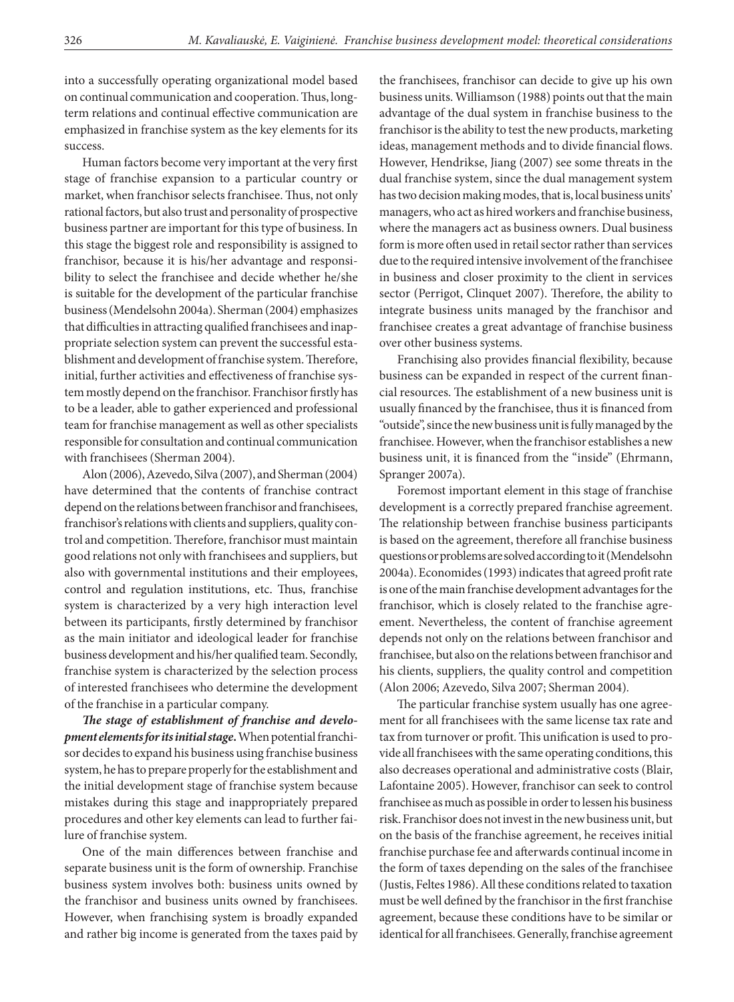into a successfully operating organizational model based on continual communication and cooperation. Thus, longterm relations and continual effective communication are emphasized in franchise system as the key elements for its success.

Human factors become very important at the very first stage of franchise expansion to a particular country or market, when franchisor selects franchisee. Thus, not only rational factors, but also trust and personality of prospective business partner are important for this type of business. In this stage the biggest role and responsibility is assigned to franchisor, because it is his/her advantage and responsibility to select the franchisee and decide whether he/she is suitable for the development of the particular franchise business (Mendelsohn 2004a). Sherman (2004) emphasizes that difficulties in attracting qualified franchisees and inappropriate selection system can prevent the successful establishment and development of franchise system. Therefore, initial, further activities and effectiveness of franchise system mostly depend on the franchisor. Franchisor firstly has to be a leader, able to gather experienced and professional team for franchise management as well as other specialists responsible for consultation and continual communication with franchisees (Sherman 2004).

Alon(2006), Azevedo, Silva (2007), and Sherman (2004) have determined that the contents of franchise contract depend on the relations between franchisor and franchisees, franchisor's relations with clients and suppliers, quality control and competition. Therefore, franchisor must maintain good relations not only with franchisees and suppliers, but also with governmental institutions and their employees, control and regulation institutions, etc. Thus, franchise system is characterized by a very high interaction level between its participants, firstly determined by franchisor as the main initiator and ideological leader for franchise business development and his/her qualified team. Secondly, franchise system is characterized by the selection process of interested franchisees who determine the development of the franchise in a particular company.

*The stage of establishment of franchise and development elements for its initial stage***.** When potential franchisor decides to expand his business using franchise business system, he has to prepare properly for the establishment and the initial development stage of franchise system because mistakes during this stage and inappropriately prepared procedures and other key elements can lead to further failure of franchise system.

One of the main differences between franchise and separate business unit is the form of ownership. Franchise business system involves both: business units owned by the franchisor and business units owned by franchisees. However, when franchising system is broadly expanded and rather big income is generated from the taxes paid by the franchisees, franchisor can decide to give up his own business units. Williamson (1988) points out that the main advantage of the dual system in franchise business to the franchisor is the ability to test the new products, marketing ideas, management methods and to divide financial flows. However, Hendrikse, Jiang (2007) see some threats in the dual franchise system, since the dual management system has two decision making modes, that is, local business units' managers, who act as hired workers and franchise business, where the managers act as business owners. Dual business form is more often used in retail sector rather than services due to the required intensive involvement of the franchisee in business and closer proximity to the client in services sector (Perrigot, Clinquet 2007). Therefore, the ability to integrate business units managed by the franchisor and franchisee creates a great advantage of franchise business over other business systems.

Franchising also provides financial flexibility, because business can be expanded in respect of the current financial resources. The establishment of a new business unit is usually financed by the franchisee, thus it is financed from "outside", since the new business unit is fully managed by the franchisee. However, when the franchisor establishes a new business unit, it is financed from the "inside" (Ehrmann, Spranger 2007a).

Foremost important element in this stage of franchise development is a correctly prepared franchise agreement. The relationship between franchise business participants is based on the agreement, therefore all franchise business questions or problems are solved according to it (Mendelsohn 2004a). Economides (1993) indicates that agreed profit rate is one of the main franchise development advantages for the franchisor, which is closely related to the franchise agreement. Nevertheless, the content of franchise agreement depends not only on the relations between franchisor and franchisee, but also on the relations between franchisor and his clients, suppliers, the quality control and competition (Alon 2006; Azevedo, Silva 2007; Sherman 2004)*.*

The particular franchise system usually has one agreement for all franchisees with the same license tax rate and tax from turnover or profit. This unification is used to provide all franchisees with the same operating conditions, this also decreases operational and administrative costs (Blair, Lafontaine 2005). However, franchisor can seek to control franchisee as much as possible in order to lessen his business risk. Franchisor does not invest in the new business unit, but on the basis of the franchise agreement, he receives initial franchise purchase fee and afterwards continual income in the form of taxes depending on the sales of the franchisee (Justis, Feltes 1986). All these conditions related to taxation must be well defined by the franchisor in the first franchise agreement, because these conditions have to be similar or identical for all franchisees. Generally, franchise agreement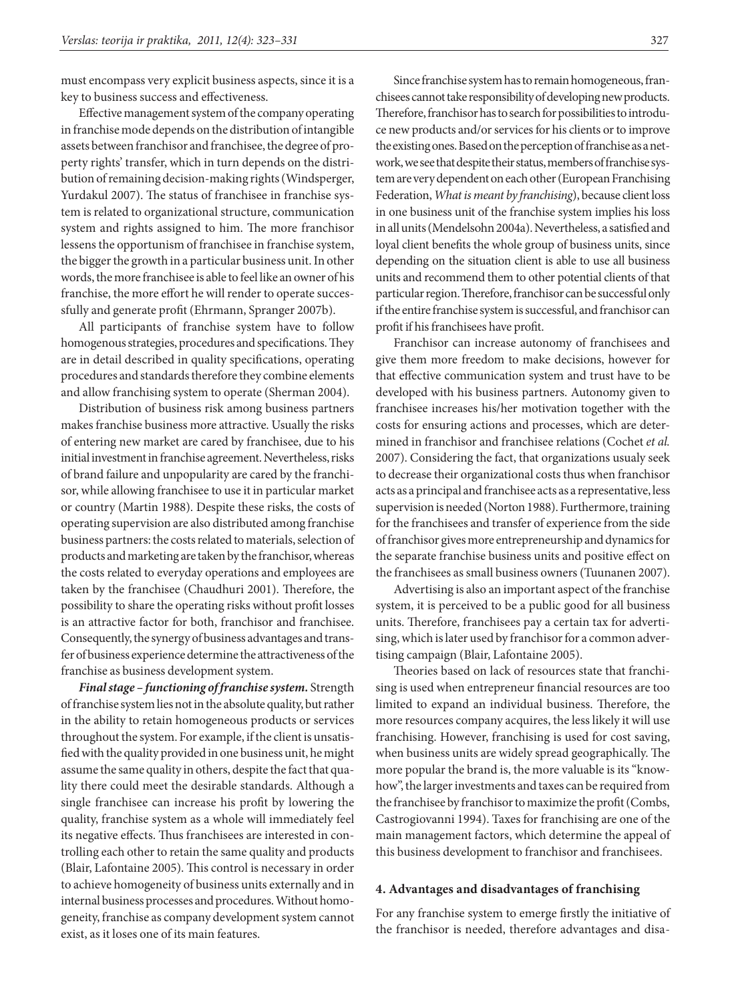must encompass very explicit business aspects, since it is a key to business success and effectiveness.

Effective management system of the company operating in franchise mode depends on the distribution of intangible assets between franchisor and franchisee, the degree of property rights' transfer, which in turn depends on the distribution of remaining decision-making rights (Windsperger, Yurdakul 2007). The status of franchisee in franchise system is related to organizational structure, communication system and rights assigned to him. The more franchisor lessens the opportunism of franchisee in franchise system, the bigger the growth in a particular business unit. In other words, the more franchisee is able to feel like an owner of his franchise, the more effort he will render to operate successfully and generate profit (Ehrmann, Spranger 2007b).

All participants of franchise system have to follow homogenous strategies, procedures and specifications. They are in detail described in quality specifications, operating procedures and standards therefore they combine elements and allow franchising system to operate (Sherman 2004).

Distribution of business risk among business partners makes franchise business more attractive. Usually the risks of entering new market are cared by franchisee, due to his initial investment in franchise agreement. Nevertheless, risks of brand failure and unpopularity are cared by the franchisor, while allowing franchisee to use it in particular market or country (Martin 1988). Despite these risks, the costs of operating supervision are also distributed among franchise business partners: the costs related to materials, selection of products and marketing are taken by the franchisor, whereas the costs related to everyday operations and employees are taken by the franchisee (Chaudhuri 2001). Therefore, the possibility to share the operating risks without profit losses is an attractive factor for both, franchisor and franchisee. Consequently, the synergy of business advantages and transfer of business experience determine the attractiveness of the franchise as business development system.

*Final stage – functioning of franchise system.* Strength of franchise system lies not in the absolute quality, but rather in the ability to retain homogeneous products or services throughout the system. For example, if the client is unsatisfied with the quality provided in one business unit, he might assume the same quality in others, despite the fact that quality there could meet the desirable standards. Although a single franchisee can increase his profit by lowering the quality, franchise system as a whole will immediately feel its negative effects. Thus franchisees are interested in controlling each other to retain the same quality and products (Blair, Lafontaine 2005). This control is necessary in order to achieve homogeneity of business units externally and in internal business processes and procedures. Without homogeneity, franchise as company development system cannot exist, as it loses one of its main features.

Since franchise system has to remain homogeneous, franchisees cannot take responsibility of developing new products. Therefore, franchisor has to search for possibilities to introduce new products and/or services for his clients or to improve the existing ones. Based on the perception of franchise as a network, we see that despite their status, members of franchise system are very dependent on each other (European Franchising Federation, *What is meant by franchising*), because client loss in one business unit of the franchise system implies his loss in all units (Mendelsohn 2004a). Nevertheless, a satisfied and loyal client benefits the whole group of business units, since depending on the situation client is able to use all business units and recommend them to other potential clients of that particular region. Therefore, franchisor can be successful only if the entire franchise system is successful, and franchisor can profit if his franchisees have profit.

Franchisor can increase autonomy of franchisees and give them more freedom to make decisions, however for that effective communication system and trust have to be developed with his business partners. Autonomy given to franchisee increases his/her motivation together with the costs for ensuring actions and processes, which are determined in franchisor and franchisee relations (Cochet *et al.* 2007). Considering the fact, that organizations usualy seek to decrease their organizational costs thus when franchisor acts as a principal and franchisee acts as a representative, less supervision is needed (Norton 1988). Furthermore, training for the franchisees and transfer of experience from the side of franchisor gives more entrepreneurship and dynamics for the separate franchise business units and positive effect on the franchisees as small business owners (Tuunanen 2007).

Advertising is also an important aspect of the franchise system, it is perceived to be a public good for all business units. Therefore, franchisees pay a certain tax for advertising, which is later used by franchisor for a common advertising campaign (Blair, Lafontaine 2005).

Theories based on lack of resources state that franchising is used when entrepreneur financial resources are too limited to expand an individual business. Therefore, the more resources company acquires, the less likely it will use franchising. However, franchising is used for cost saving, when business units are widely spread geographically. The more popular the brand is, the more valuable is its "knowhow", the larger investments and taxes can be required from the franchisee by franchisor to maximize the profit (Combs, Castrogiovanni 1994). Taxes for franchising are one of the main management factors, which determine the appeal of this business development to franchisor and franchisees.

#### **4. Advantages and disadvantages of franchising**

For any franchise system to emerge firstly the initiative of the franchisor is needed, therefore advantages and disa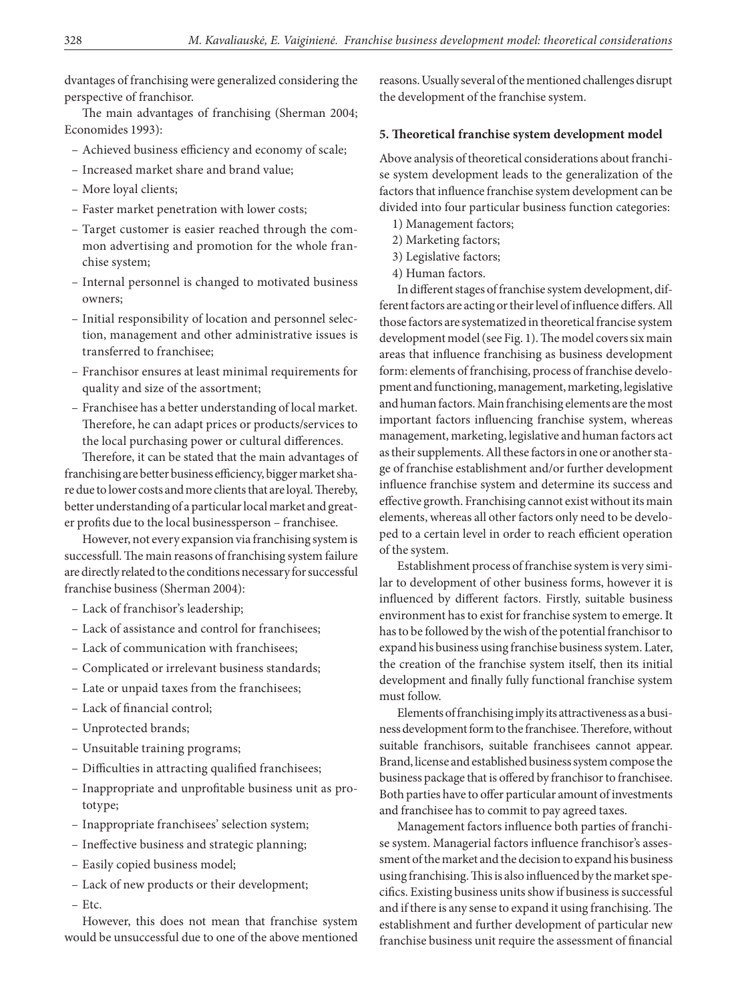dvantages of franchising were generalized considering the perspective of franchisor.

The main advantages of franchising (Sherman 2004; Economides 1993):

- Achieved business efficiency and economy of scale;
- Increased market share and brand value;
- More loyal clients;
- Faster market penetration with lower costs;
- Target customer is easier reached through the common advertising and promotion for the whole franchise system;
- Internal personnel is changed to motivated business owners;
- Initial responsibility of location and personnel selection, management and other administrative issues is transferred to franchisee;
- Franchisor ensures at least minimal requirements for quality and size of the assortment;
- Franchisee has a better understanding of local market. Therefore, he can adapt prices or products/services to the local purchasing power or cultural differences.

Therefore, it can be stated that the main advantages of franchising are better business efficiency, bigger market share due to lower costs and more clients that are loyal. Thereby, better understanding of a particular local market and greater profits due to the local businessperson – franchisee.

However, not every expansion via franchising system is successfull. The main reasons of franchising system failure are directly related to the conditions necessary for successful franchise business (Sherman 2004):

- Lack of franchisor's leadership;
- Lack of assistance and control for franchisees;
- Lack of communication with franchisees;
- Complicated or irrelevant business standards;
- Late or unpaid taxes from the franchisees;
- Lack of financial control;
- Unprotected brands;
- Unsuitable training programs;
- Difficulties in attracting qualified franchisees;
- Inappropriate and unprofitable business unit as prototype;
- Inappropriate franchisees' selection system;
- Ineffective business and strategic planning;
- Easily copied business model;
- Lack of new products or their development;
- Etc.

However, this does not mean that franchise system would be unsuccessful due to one of the above mentioned reasons. Usually several of the mentioned challenges disrupt the development of the franchise system.

### **5. Theoretical franchise system development model**

Above analysis of theoretical considerations about franchise system development leads to the generalization of the factors that influence franchise system development can be divided into four particular business function categories:

- 1) Management factors;
- 2) Marketing factors;
- 3) Legislative factors;
- 4) Human factors.

In different stages of franchise system development, different factors are acting or their level of influence differs. All those factors are systematized in theoretical francise system development model (see Fig. 1). The model covers six main areas that influence franchising as business development form: elements of franchising, process of franchise development and functioning, management, marketing, legislative and human factors. Main franchising elements are the most important factors influencing franchise system, whereas management, marketing, legislative and human factors act as their supplements. All these factors in one or another stage of franchise establishment and/or further development influence franchise system and determine its success and effective growth. Franchising cannot exist without its main elements, whereas all other factors only need to be developed to a certain level in order to reach efficient operation of the system.

Establishment process of franchise system is very similar to development of other business forms, however it is influenced by different factors. Firstly, suitable business environment has to exist for franchise system to emerge. It has to be followed by the wish of the potential franchisor to expand his business using franchise business system. Later, the creation of the franchise system itself, then its initial development and finally fully functional franchise system must follow.

Elements of franchising imply its attractiveness as a business development form to the franchisee. Therefore, without suitable franchisors, suitable franchisees cannot appear. Brand, license and established business system compose the business package that is offered by franchisor to franchisee. Both parties have to offer particular amount of investments and franchisee has to commit to pay agreed taxes.

Management factors influence both parties of franchise system. Managerial factors influence franchisor's assessment of the market and the decision to expand his business using franchising. This is also influenced by the market specifics. Existing business units show if business is successful and if there is any sense to expand it using franchising. The establishment and further development of particular new franchise business unit require the assessment of financial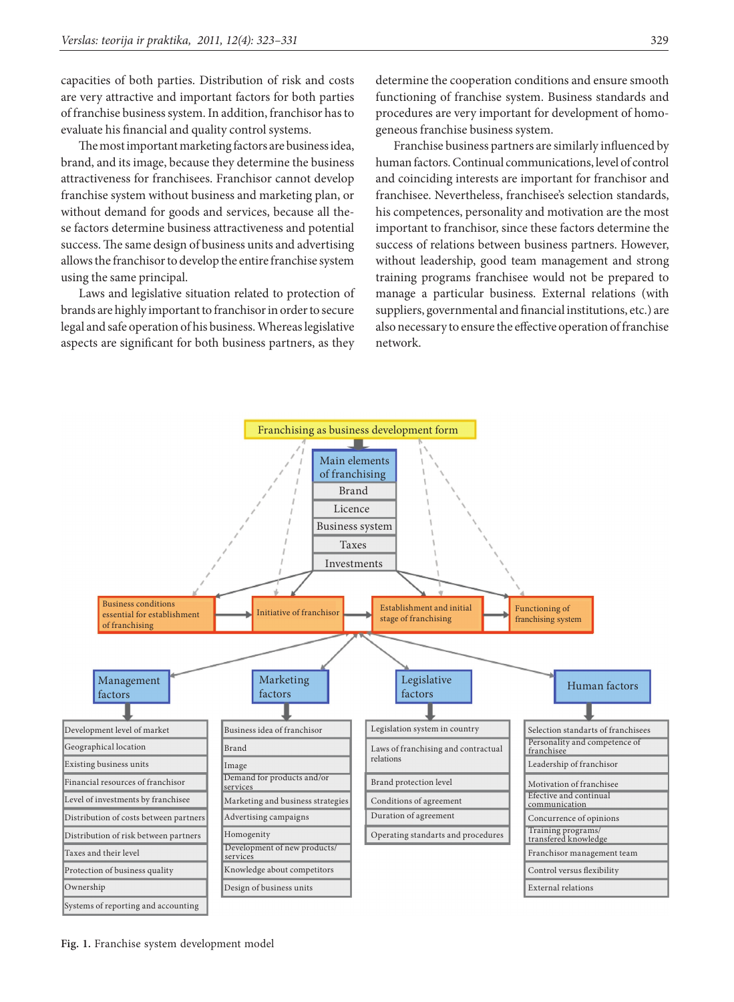capacities of both parties. Distribution of risk and costs are very attractive and important factors for both parties of franchise business system. In addition, franchisor has to evaluate his financial and quality control systems.

The most important marketing factors are business idea, brand, and its image, because they determine the business attractiveness for franchisees. Franchisor cannot develop franchise system without business and marketing plan, or without demand for goods and services, because all these factors determine business attractiveness and potential success. The same design of business units and advertising allows the franchisor to develop the entire franchise system using the same principal.

Laws and legislative situation related to protection of brands are highly important to franchisor in order to secure legal and safe operation of his business. Whereas legislative aspects are significant for both business partners, as they

determine the cooperation conditions and ensure smooth functioning of franchise system. Business standards and procedures are very important for development of homogeneous franchise business system.

Franchise business partners are similarly influenced by human factors. Continual communications, level of control and coinciding interests are important for franchisor and franchisee. Nevertheless, franchisee's selection standards, his competences, personality and motivation are the most important to franchisor, since these factors determine the success of relations between business partners. However, without leadership, good team management and strong training programs franchisee would not be prepared to manage a particular business. External relations (with suppliers, governmental and financial institutions, etc.) are also necessary to ensure the effective operation of franchise network.



**Fig. 1.** Franchise system development model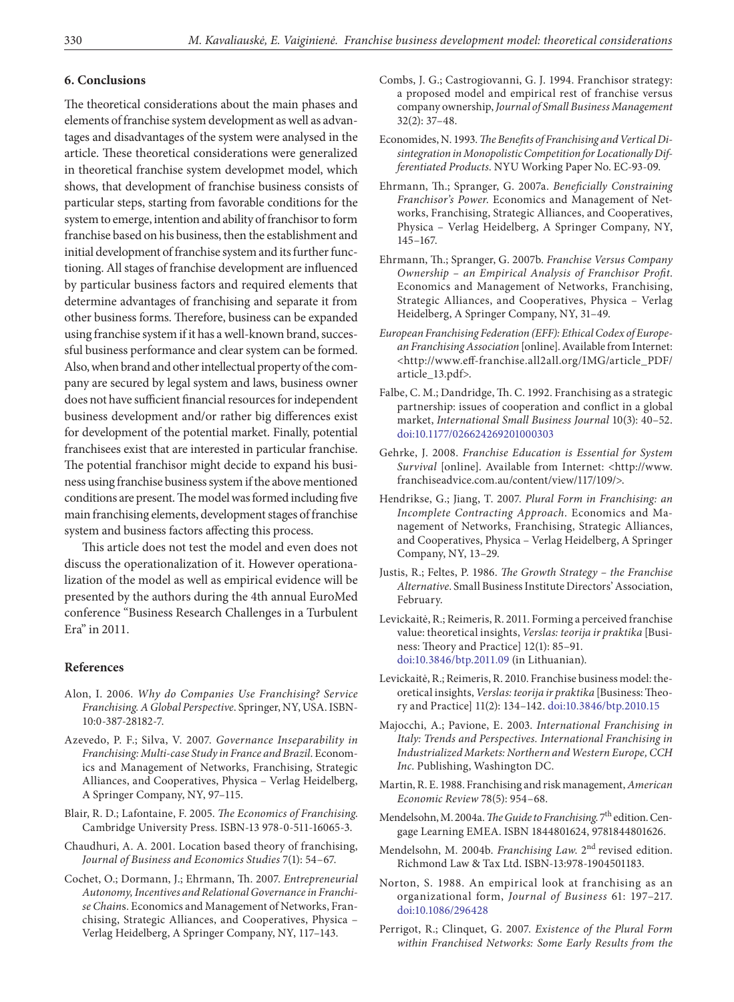### **6. Conclusions**

The theoretical considerations about the main phases and elements of franchise system development as well as advantages and disadvantages of the system were analysed in the article. These theoretical considerations were generalized in theoretical franchise system developmet model, which shows, that development of franchise business consists of particular steps, starting from favorable conditions for the system to emerge, intention and ability of franchisor to form franchise based on his business, then the establishment and initial development of franchise system and its further functioning. All stages of franchise development are influenced by particular business factors and required elements that determine advantages of franchising and separate it from other business forms. Therefore, business can be expanded using franchise system if it has a well-known brand, successful business performance and clear system can be formed. Also, when brand and other intellectual property of the company are secured by legal system and laws, business owner does not have sufficient financial resources for independent business development and/or rather big differences exist for development of the potential market. Finally, potential franchisees exist that are interested in particular franchise. The potential franchisor might decide to expand his business using franchise business system if the above mentioned conditions are present. The model was formed including five main franchising elements, development stages of franchise system and business factors affecting this process.

This article does not test the model and even does not discuss the operationalization of it. However operationalization of the model as well as empirical evidence will be presented by the authors during the 4th annual EuroMed conference "Business Research Challenges in a Turbulent Era" in 2011.

#### **References**

- Alon, I. 2006. *Why do Companies Use Franchising? Service Franchising. A Global Perspective*. Springer, NY, USA. ISBN-10:0-387-28182-7.
- Azevedo, P. F.; Silva, V. 2007. *Governance Inseparability in Franchising: Multi-case Study in France and Brazil*. Economics and Management of Networks, Franchising, Strategic Alliances, and Cooperatives, Physica – Verlag Heidelberg, A Springer Company, NY, 97–115.
- Blair, R. D.; Lafontaine, F. 2005. *The Economics of Franchising*. Cambridge University Press. ISBN-13 978-0-511-16065-3.
- Chaudhuri, A. A. 2001. Location based theory of franchising, *Journal of Business and Economics Studies* 7(1): 54–67.
- Cochet, O.; Dormann, J.; Ehrmann, Th. 2007. *Entrepreneurial Autonomy, Incentives and Relational Governance in Franchise Chain*s. Economics and Management of Networks, Franchising, Strategic Alliances, and Cooperatives, Physica – Verlag Heidelberg, A Springer Company, NY, 117–143.
- Combs, J. G.; Castrogiovanni, G. J. 1994. Franchisor strategy: a proposed model and empirical rest of franchise versus company ownership, *Journal of Small Business Management* 32(2): 37–48.
- Economides, N. 1993. *The Benefits of Franchising and Vertical Disintegration in Monopolistic Competition for Locationally Differentiated Products*. NYU Working Paper No. EC-93-09.
- Ehrmann, Th.; Spranger, G. 2007a. *Beneficially Constraining Franchisor's Power*. Economics and Management of Networks, Franchising, Strategic Alliances, and Cooperatives, Physica – Verlag Heidelberg, A Springer Company, NY, 145–167.
- Ehrmann, Th.; Spranger, G. 2007b. *Franchise Versus Company Ownership – an Empirical Analysis of Franchisor Profit*. Economics and Management of Networks, Franchising, Strategic Alliances, and Cooperatives, Physica – Verlag Heidelberg, A Springer Company, NY, 31–49.
- *European Franchising Federation (EFF): Ethical Codex of European Franchising Association* [online]. Available from Internet: <http://www.eff-franchise.all2all.org/IMG/article\_PDF/ article\_13.pdf>.
- Falbe, C. M.; Dandridge, Th. C. 1992. Franchising as a strategic partnership: issues of cooperation and conflict in a global market, *International Small Business Journal* 10(3): 40–52. [doi:10.1177/026624269201000303](http://dx.doi.org/10.1177/026624269201000303)
- Gehrke, J. 2008. *Franchise Education is Essential for System Survival* [online]. Available from Internet: <http://www. franchiseadvice.com.au/content/view/117/109/>.
- Hendrikse, G.; Jiang, T. 2007. *Plural Form in Franchising: an Incomplete Contracting Approach*. Economics and Management of Networks, Franchising, Strategic Alliances, and Cooperatives, Physica – Verlag Heidelberg, A Springer Company, NY, 13–29.
- Justis, R.; Feltes, P. 1986. *The Growth Strategy the Franchise Alternative*. Small Business Institute Directors' Association, February.
- Levickaitė, R.; Reimeris, R. 2011. Forming a perceived franchise value: theoretical insights, *Verslas: teorija ir praktika* [Business: Theory and Practice] 12(1): 85–91. [doi:10.3846/btp.2011.09](http://dx.doi.org/10.3846/btp.2011.09) (in Lithuanian).
- Levickaitė, R.; Reimeris, R. 2010. Franchise business model: theoretical insights, *Verslas: teorija ir praktika* [Business: Theory and Practice] 11(2): 134–142. doi:10.3846/btp.2010.15
- Majocchi, A.; Pavione, E. 2003. *International Franchising in Italy: Trends and Perspectives. International Franchising in Industrialized Markets: Northern and Western Europe, CCH Inc*. Publishing, Washington DC.
- Martin, R. E. 1988. Franchising and risk management, *American Economic Review* 78(5): 954–68.
- Mendelsohn, M. 2004a. *The Guide to Franchising*. 7<sup>th</sup> edition. Cengage Learning EMEA. ISBN 1844801624, 9781844801626.
- Mendelsohn, M. 2004b. *Franchising Law*. 2nd revised edition. Richmond Law & Tax Ltd. ISBN-13:978-1904501183.
- Norton, S. 1988. An empirical look at franchising as an organizational form, *Journal of Business* 61: 197–217. [doi:10.1086/296428](http://dx.doi.org/10.1086/296428)
- Perrigot, R.; Clinquet, G. 2007. *Existence of the Plural Form within Franchised Networks: Some Early Results from the*